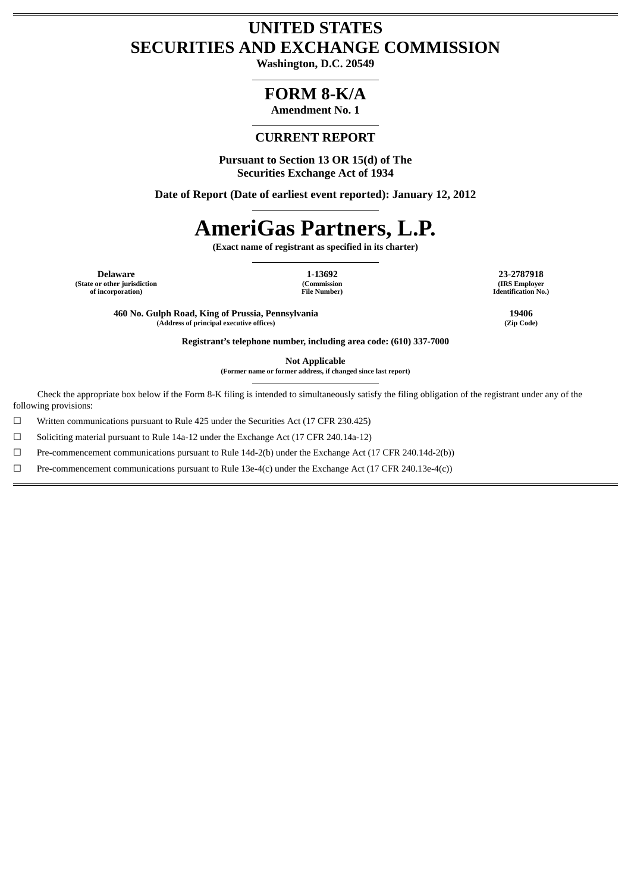# **UNITED STATES SECURITIES AND EXCHANGE COMMISSION**

**Washington, D.C. 20549**

# **FORM 8-K/A**

**Amendment No. 1**

# **CURRENT REPORT**

**Pursuant to Section 13 OR 15(d) of The Securities Exchange Act of 1934**

**Date of Report (Date of earliest event reported): January 12, 2012**

# **AmeriGas Partners, L.P.**

**(Exact name of registrant as specified in its charter)**

**Delaware 1-13692 23-2787918 (State or other jurisdiction of incorporation)**

**(Commission File Number)** **(IRS Employer Identification No.)**

**460 No. Gulph Road, King of Prussia, Pennsylvania 19406 (Address of principal executive offices) (Zip Code)**

**Registrant's telephone number, including area code: (610) 337-7000**

**Not Applicable**

**(Former name or former address, if changed since last report)**

Check the appropriate box below if the Form 8-K filing is intended to simultaneously satisfy the filing obligation of the registrant under any of the following provisions:

☐ Written communications pursuant to Rule 425 under the Securities Act (17 CFR 230.425)

 $\Box$  Soliciting material pursuant to Rule 14a-12 under the Exchange Act (17 CFR 240.14a-12)

☐ Pre-commencement communications pursuant to Rule 14d-2(b) under the Exchange Act (17 CFR 240.14d-2(b))

☐ Pre-commencement communications pursuant to Rule 13e-4(c) under the Exchange Act (17 CFR 240.13e-4(c))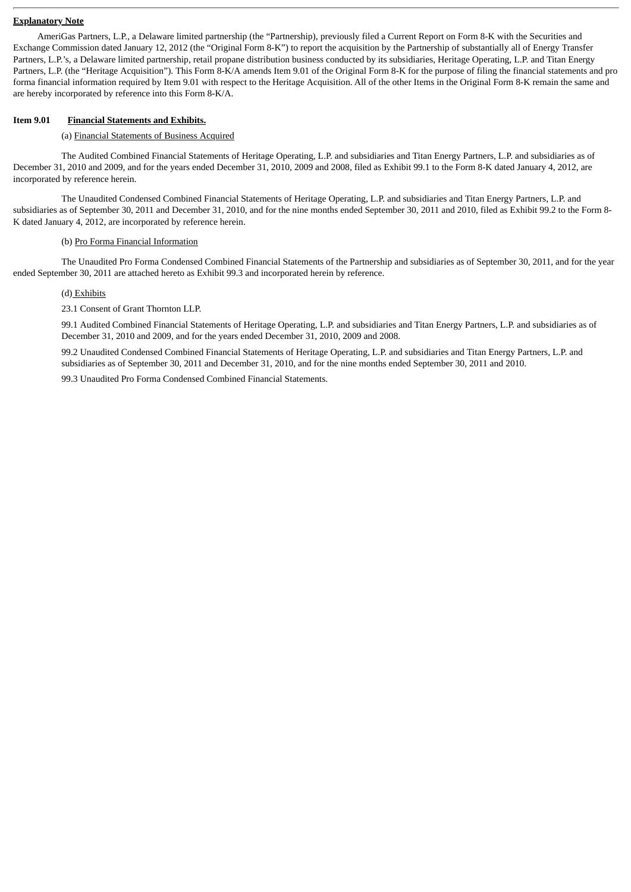#### **Explanatory Note**

AmeriGas Partners, L.P., a Delaware limited partnership (the "Partnership), previously filed a Current Report on Form 8-K with the Securities and Exchange Commission dated January 12, 2012 (the "Original Form 8-K") to report the acquisition by the Partnership of substantially all of Energy Transfer Partners, L.P.'s, a Delaware limited partnership, retail propane distribution business conducted by its subsidiaries, Heritage Operating, L.P. and Titan Energy Partners, L.P. (the "Heritage Acquisition"). This Form 8-K/A amends Item 9.01 of the Original Form 8-K for the purpose of filing the financial statements and pro forma financial information required by Item 9.01 with respect to the Heritage Acquisition. All of the other Items in the Original Form 8-K remain the same and are hereby incorporated by reference into this Form 8-K/A.

#### **Item 9.01 Financial Statements and Exhibits.**

#### (a) Financial Statements of Business Acquired

The Audited Combined Financial Statements of Heritage Operating, L.P. and subsidiaries and Titan Energy Partners, L.P. and subsidiaries as of December 31, 2010 and 2009, and for the years ended December 31, 2010, 2009 and 2008, filed as Exhibit 99.1 to the Form 8-K dated January 4, 2012, are incorporated by reference herein.

The Unaudited Condensed Combined Financial Statements of Heritage Operating, L.P. and subsidiaries and Titan Energy Partners, L.P. and subsidiaries as of September 30, 2011 and December 31, 2010, and for the nine months ended September 30, 2011 and 2010, filed as Exhibit 99.2 to the Form 8- K dated January 4, 2012, are incorporated by reference herein.

#### (b) Pro Forma Financial Information

The Unaudited Pro Forma Condensed Combined Financial Statements of the Partnership and subsidiaries as of September 30, 2011, and for the year ended September 30, 2011 are attached hereto as Exhibit 99.3 and incorporated herein by reference.

#### (d) Exhibits

23.1 Consent of Grant Thornton LLP.

99.1 Audited Combined Financial Statements of Heritage Operating, L.P. and subsidiaries and Titan Energy Partners, L.P. and subsidiaries as of December 31, 2010 and 2009, and for the years ended December 31, 2010, 2009 and 2008.

99.2 Unaudited Condensed Combined Financial Statements of Heritage Operating, L.P. and subsidiaries and Titan Energy Partners, L.P. and subsidiaries as of September 30, 2011 and December 31, 2010, and for the nine months ended September 30, 2011 and 2010.

99.3 Unaudited Pro Forma Condensed Combined Financial Statements.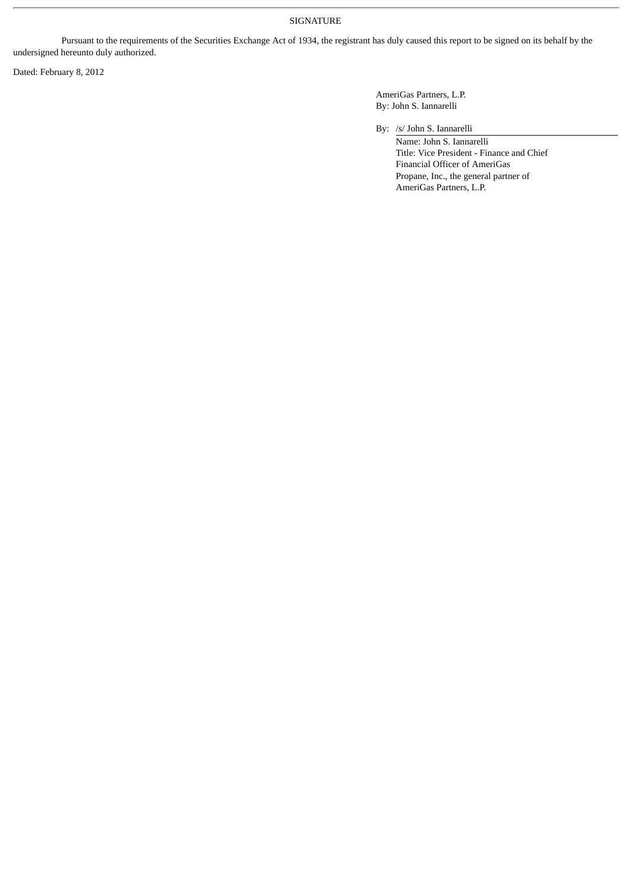# SIGNATURE

Pursuant to the requirements of the Securities Exchange Act of 1934, the registrant has duly caused this report to be signed on its behalf by the undersigned hereunto duly authorized.

Dated: February 8, 2012

AmeriGas Partners, L.P. By: John S. Iannarelli

By: /s/ John S. Iannarelli

Name: John S. Iannarelli Title: Vice President - Finance and Chief Financial Officer of AmeriGas Propane, Inc., the general partner of AmeriGas Partners, L.P.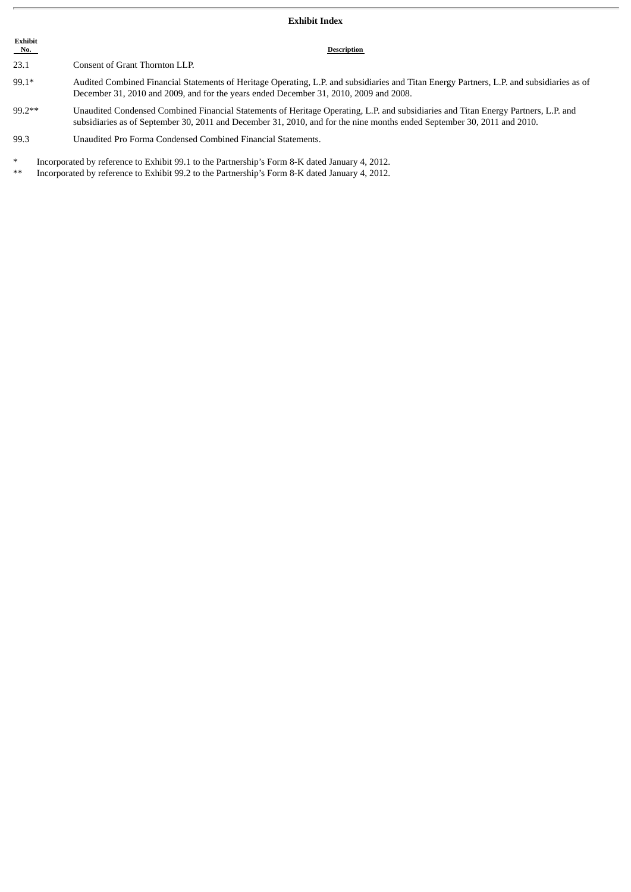#### **Exhibit Index**

**Exhibit**<br>No. **Description** 23.1 Consent of Grant Thornton LLP. 99.1\* Audited Combined Financial Statements of Heritage Operating, L.P. and subsidiaries and Titan Energy Partners, L.P. and subsidiaries as of December 31, 2010 and 2009, and for the years ended December 31, 2010, 2009 and 2008. 99.2\*\* Unaudited Condensed Combined Financial Statements of Heritage Operating, L.P. and subsidiaries and Titan Energy Partners, L.P. and subsidiaries as of September 30, 2011 and December 31, 2010, and for the nine months ended September 30, 2011 and 2010. 99.3 Unaudited Pro Forma Condensed Combined Financial Statements.

Incorporated by reference to Exhibit 99.1 to the Partnership's Form 8-K dated January 4, 2012.

Incorporated by reference to Exhibit 99.2 to the Partnership's Form 8-K dated January 4, 2012.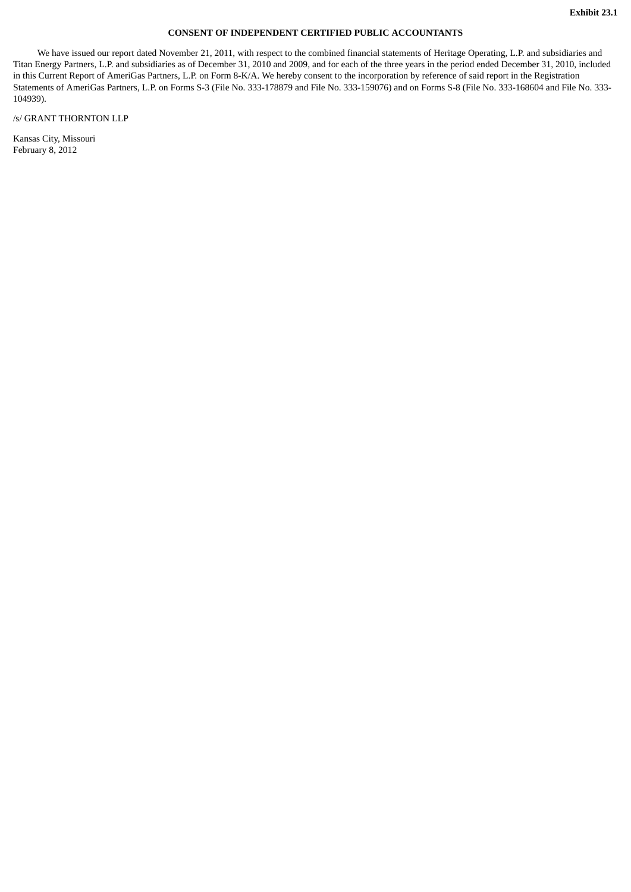#### **CONSENT OF INDEPENDENT CERTIFIED PUBLIC ACCOUNTANTS**

We have issued our report dated November 21, 2011, with respect to the combined financial statements of Heritage Operating, L.P. and subsidiaries and Titan Energy Partners, L.P. and subsidiaries as of December 31, 2010 and 2009, and for each of the three years in the period ended December 31, 2010, included in this Current Report of AmeriGas Partners, L.P. on Form 8-K/A. We hereby consent to the incorporation by reference of said report in the Registration Statements of AmeriGas Partners, L.P. on Forms S-3 (File No. 333-178879 and File No. 333-159076) and on Forms S-8 (File No. 333-168604 and File No. 333-104939).

/s/ GRANT THORNTON LLP

Kansas City, Missouri February 8, 2012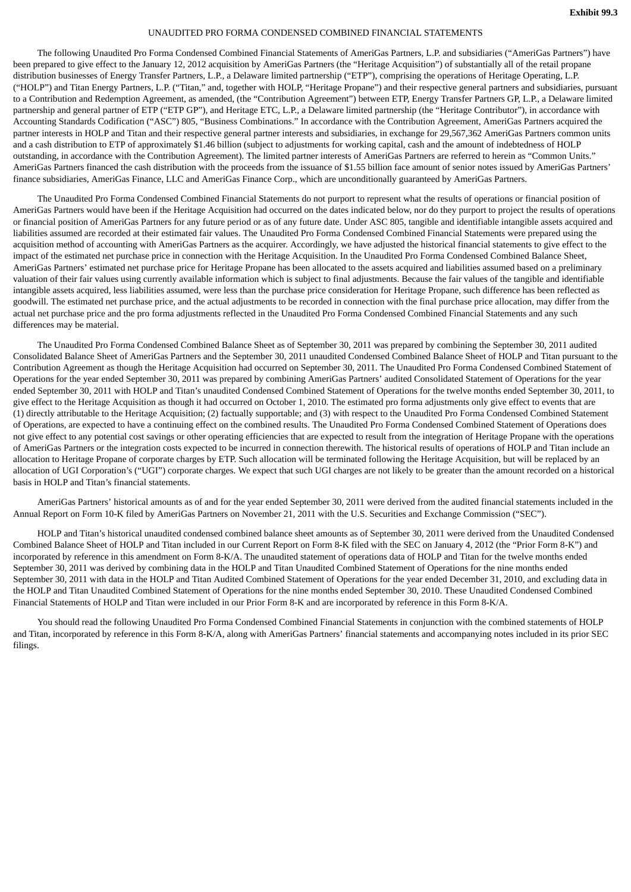#### UNAUDITED PRO FORMA CONDENSED COMBINED FINANCIAL STATEMENTS

The following Unaudited Pro Forma Condensed Combined Financial Statements of AmeriGas Partners, L.P. and subsidiaries ("AmeriGas Partners") have been prepared to give effect to the January 12, 2012 acquisition by AmeriGas Partners (the "Heritage Acquisition") of substantially all of the retail propane distribution businesses of Energy Transfer Partners, L.P., a Delaware limited partnership ("ETP"), comprising the operations of Heritage Operating, L.P. ("HOLP") and Titan Energy Partners, L.P. ("Titan," and, together with HOLP, "Heritage Propane") and their respective general partners and subsidiaries, pursuant to a Contribution and Redemption Agreement, as amended, (the "Contribution Agreement") between ETP, Energy Transfer Partners GP, L.P., a Delaware limited partnership and general partner of ETP ("ETP GP"), and Heritage ETC, L.P., a Delaware limited partnership (the "Heritage Contributor"), in accordance with Accounting Standards Codification ("ASC") 805, "Business Combinations." In accordance with the Contribution Agreement, AmeriGas Partners acquired the partner interests in HOLP and Titan and their respective general partner interests and subsidiaries, in exchange for 29,567,362 AmeriGas Partners common units and a cash distribution to ETP of approximately \$1.46 billion (subject to adjustments for working capital, cash and the amount of indebtedness of HOLP outstanding, in accordance with the Contribution Agreement). The limited partner interests of AmeriGas Partners are referred to herein as "Common Units." AmeriGas Partners financed the cash distribution with the proceeds from the issuance of \$1.55 billion face amount of senior notes issued by AmeriGas Partners' finance subsidiaries, AmeriGas Finance, LLC and AmeriGas Finance Corp., which are unconditionally guaranteed by AmeriGas Partners.

The Unaudited Pro Forma Condensed Combined Financial Statements do not purport to represent what the results of operations or financial position of AmeriGas Partners would have been if the Heritage Acquisition had occurred on the dates indicated below, nor do they purport to project the results of operations or financial position of AmeriGas Partners for any future period or as of any future date. Under ASC 805, tangible and identifiable intangible assets acquired and liabilities assumed are recorded at their estimated fair values. The Unaudited Pro Forma Condensed Combined Financial Statements were prepared using the acquisition method of accounting with AmeriGas Partners as the acquirer. Accordingly, we have adjusted the historical financial statements to give effect to the impact of the estimated net purchase price in connection with the Heritage Acquisition. In the Unaudited Pro Forma Condensed Combined Balance Sheet, AmeriGas Partners' estimated net purchase price for Heritage Propane has been allocated to the assets acquired and liabilities assumed based on a preliminary valuation of their fair values using currently available information which is subject to final adjustments. Because the fair values of the tangible and identifiable intangible assets acquired, less liabilities assumed, were less than the purchase price consideration for Heritage Propane, such difference has been reflected as goodwill. The estimated net purchase price, and the actual adjustments to be recorded in connection with the final purchase price allocation, may differ from the actual net purchase price and the pro forma adjustments reflected in the Unaudited Pro Forma Condensed Combined Financial Statements and any such differences may be material.

The Unaudited Pro Forma Condensed Combined Balance Sheet as of September 30, 2011 was prepared by combining the September 30, 2011 audited Consolidated Balance Sheet of AmeriGas Partners and the September 30, 2011 unaudited Condensed Combined Balance Sheet of HOLP and Titan pursuant to the Contribution Agreement as though the Heritage Acquisition had occurred on September 30, 2011. The Unaudited Pro Forma Condensed Combined Statement of Operations for the year ended September 30, 2011 was prepared by combining AmeriGas Partners' audited Consolidated Statement of Operations for the year ended September 30, 2011 with HOLP and Titan's unaudited Condensed Combined Statement of Operations for the twelve months ended September 30, 2011, to give effect to the Heritage Acquisition as though it had occurred on October 1, 2010. The estimated pro forma adjustments only give effect to events that are (1) directly attributable to the Heritage Acquisition; (2) factually supportable; and (3) with respect to the Unaudited Pro Forma Condensed Combined Statement of Operations, are expected to have a continuing effect on the combined results. The Unaudited Pro Forma Condensed Combined Statement of Operations does not give effect to any potential cost savings or other operating efficiencies that are expected to result from the integration of Heritage Propane with the operations of AmeriGas Partners or the integration costs expected to be incurred in connection therewith. The historical results of operations of HOLP and Titan include an allocation to Heritage Propane of corporate charges by ETP. Such allocation will be terminated following the Heritage Acquisition, but will be replaced by an allocation of UGI Corporation's ("UGI") corporate charges. We expect that such UGI charges are not likely to be greater than the amount recorded on a historical basis in HOLP and Titan's financial statements.

AmeriGas Partners' historical amounts as of and for the year ended September 30, 2011 were derived from the audited financial statements included in the Annual Report on Form 10-K filed by AmeriGas Partners on November 21, 2011 with the U.S. Securities and Exchange Commission ("SEC").

HOLP and Titan's historical unaudited condensed combined balance sheet amounts as of September 30, 2011 were derived from the Unaudited Condensed Combined Balance Sheet of HOLP and Titan included in our Current Report on Form 8-K filed with the SEC on January 4, 2012 (the "Prior Form 8-K") and incorporated by reference in this amendment on Form 8-K/A. The unaudited statement of operations data of HOLP and Titan for the twelve months ended September 30, 2011 was derived by combining data in the HOLP and Titan Unaudited Combined Statement of Operations for the nine months ended September 30, 2011 with data in the HOLP and Titan Audited Combined Statement of Operations for the year ended December 31, 2010, and excluding data in the HOLP and Titan Unaudited Combined Statement of Operations for the nine months ended September 30, 2010. These Unaudited Condensed Combined Financial Statements of HOLP and Titan were included in our Prior Form 8-K and are incorporated by reference in this Form 8-K/A.

You should read the following Unaudited Pro Forma Condensed Combined Financial Statements in conjunction with the combined statements of HOLP and Titan, incorporated by reference in this Form 8-K/A, along with AmeriGas Partners' financial statements and accompanying notes included in its prior SEC filings.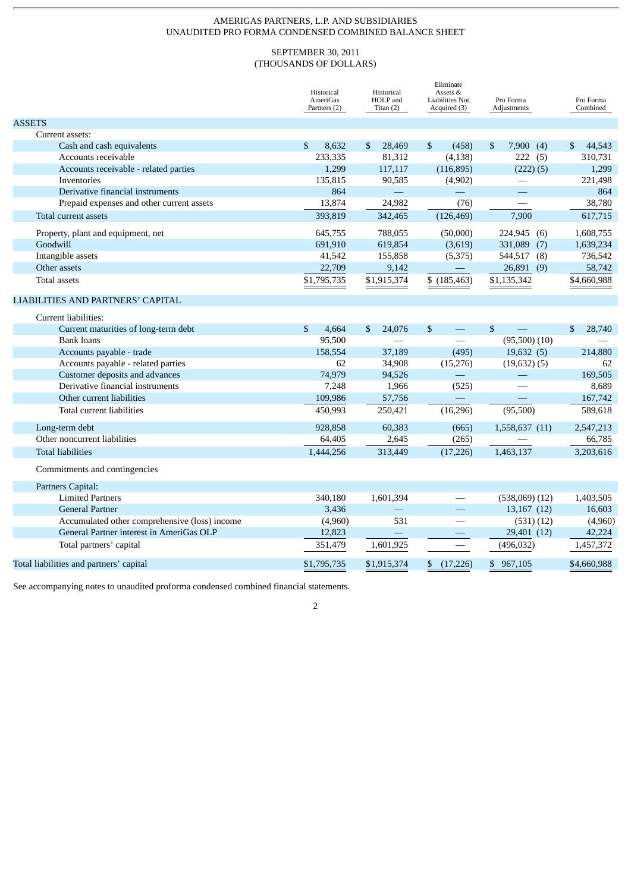## AMERIGAS PARTNERS, L.P. AND SUBSIDIARIES UNAUDITED PRO FORMA CONDENSED COMBINED BALANCE SHEET

# SEPTEMBER 30, 2011 (THOUSANDS OF DOLLARS)

|                                               | Historical<br>AmeriGas<br>Partners (2) | Historical<br>HOLP and<br>Titan $(2)$ | Eliminate<br>Assets &<br>Liabilities Not<br>Acquired (3) | Pro Forma<br>Adjustments | Pro Forma<br>Combined |
|-----------------------------------------------|----------------------------------------|---------------------------------------|----------------------------------------------------------|--------------------------|-----------------------|
| <b>ASSETS</b>                                 |                                        |                                       |                                                          |                          |                       |
| Current assets:                               |                                        |                                       |                                                          |                          |                       |
| Cash and cash equivalents                     | \$<br>8.632                            | 28,469<br>$\mathbb{S}$                | \$<br>(458)                                              | 7,900<br>\$<br>(4)       | 44,543<br>\$          |
| Accounts receivable                           | 233,335                                | 81,312                                | (4, 138)                                                 | 222<br>(5)               | 310,731               |
| Accounts receivable - related parties         | 1,299                                  | 117,117                               | (116, 895)                                               | (222)(5)                 | 1,299                 |
| Inventories                                   | 135,815                                | 90,585                                | (4,902)                                                  | $\equiv$                 | 221,498               |
| Derivative financial instruments              | 864                                    | $\frac{1}{2}$                         | $\equiv$                                                 |                          | 864                   |
| Prepaid expenses and other current assets     | 13,874                                 | 24,982                                | (76)                                                     |                          | 38,780                |
| Total current assets                          | 393,819                                | 342,465                               | (126, 469)                                               | 7,900                    | 617,715               |
| Property, plant and equipment, net            | 645,755                                | 788,055                               | (50,000)                                                 | 224,945 (6)              | 1,608,755             |
| Goodwill                                      | 691,910                                | 619,854                               | (3,619)                                                  | 331,089<br>(7)           | 1,639,234             |
| Intangible assets                             | 41,542                                 | 155,858                               | (5, 375)                                                 | 544,517 (8)              | 736,542               |
| Other assets                                  | 22,709                                 | 9,142                                 |                                                          | 26,891 (9)               | 58,742                |
| <b>Total assets</b>                           | \$1,795,735                            | \$1,915,374                           | \$(185, 463)                                             | \$1,135,342              | \$4,660,988           |
| LIABILITIES AND PARTNERS' CAPITAL             |                                        |                                       |                                                          |                          |                       |
| Current liabilities:                          |                                        |                                       |                                                          |                          |                       |
| Current maturities of long-term debt          | \$<br>4,664                            | 24,076<br>$\mathbb{S}$                | \$<br>$\qquad \qquad \qquad$                             | $\mathbb{S}$             | \$<br>28,740          |
| <b>Bank loans</b>                             | 95,500                                 |                                       |                                                          | $(95,500)$ $(10)$        |                       |
| Accounts payable - trade                      | 158.554                                | 37,189                                | (495)                                                    | 19,632(5)                | 214,880               |
| Accounts payable - related parties            | 62                                     | 34,908                                | (15, 276)                                                | $(19,632)$ $(5)$         | 62                    |
| Customer deposits and advances                | 74,979                                 | 94,526                                |                                                          |                          | 169,505               |
| Derivative financial instruments              | 7,248                                  | 1,966                                 | (525)                                                    |                          | 8,689                 |
| Other current liabilities                     | 109,986                                | 57,756                                |                                                          |                          | 167,742               |
| Total current liabilities                     | 450,993                                | 250,421                               | (16, 296)                                                | (95,500)                 | 589,618               |
| Long-term debt                                | 928,858                                | 60,383                                | (665)                                                    | 1,558,637 (11)           | 2,547,213             |
| Other noncurrent liabilities                  | 64,405                                 | 2,645                                 | (265)                                                    |                          | 66,785                |
| <b>Total liabilities</b>                      | 1,444,256                              | 313,449                               | (17, 226)                                                | 1,463,137                | 3,203,616             |
| Commitments and contingencies                 |                                        |                                       |                                                          |                          |                       |
| Partners Capital:                             |                                        |                                       |                                                          |                          |                       |
| <b>Limited Partners</b>                       | 340,180                                | 1,601,394                             |                                                          | $(538,069)$ $(12)$       | 1,403,505             |
| <b>General Partner</b>                        | 3,436                                  |                                       | 二                                                        | 13,167 (12)              | 16,603                |
| Accumulated other comprehensive (loss) income | (4,960)                                | 531                                   |                                                          | (531)(12)                | (4,960)               |
| General Partner interest in AmeriGas OLP      | 12,823                                 | د                                     |                                                          | 29,401 (12)              | 42,224                |
| Total partners' capital                       | 351,479                                | 1,601,925                             |                                                          | (496, 032)               | 1,457,372             |
| Total liabilities and partners' capital       | \$1,795,735                            | \$1,915,374                           | \$<br>(17, 226)                                          | $\mathbb{S}$<br>967,105  | \$4,660,988           |

See accompanying notes to unaudited proforma condensed combined financial statements.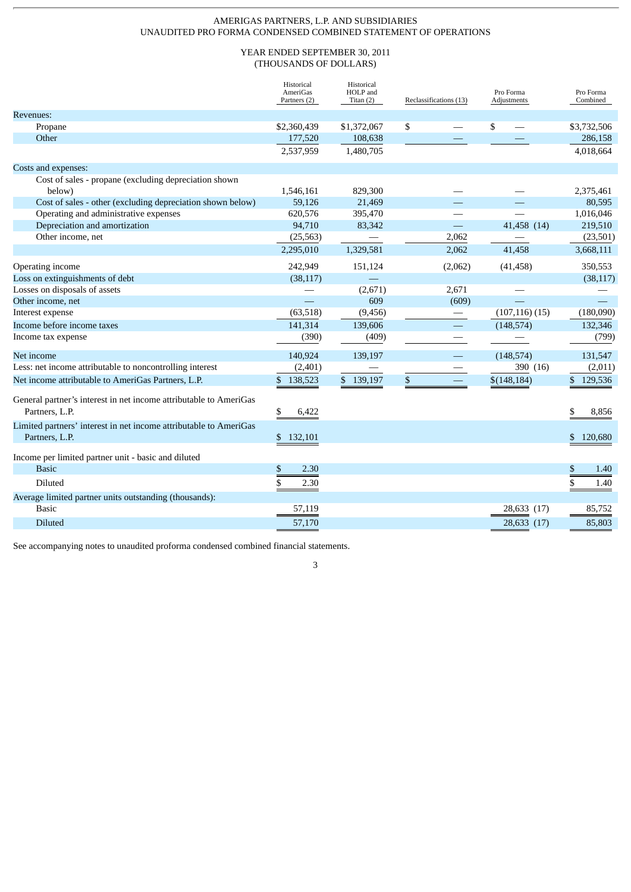## AMERIGAS PARTNERS, L.P. AND SUBSIDIARIES UNAUDITED PRO FORMA CONDENSED COMBINED STATEMENT OF OPERATIONS

## YEAR ENDED SEPTEMBER 30, 2011 (THOUSANDS OF DOLLARS)

|                                                                                     | Historical<br>AmeriGas<br>Partners (2) | Historical<br>HOLP and<br>Titan $(2)$ | Reclassifications (13)      | Pro Forma<br>Adjustments | Pro Forma<br>Combined |
|-------------------------------------------------------------------------------------|----------------------------------------|---------------------------------------|-----------------------------|--------------------------|-----------------------|
| Revenues:                                                                           |                                        |                                       |                             |                          |                       |
| Propane                                                                             | \$2,360,439                            | \$1,372,067                           | \$                          | \$                       | \$3,732,506           |
| Other                                                                               | 177,520                                | 108,638                               |                             |                          | 286,158               |
|                                                                                     | 2,537,959                              | 1,480,705                             |                             |                          | 4,018,664             |
| Costs and expenses:                                                                 |                                        |                                       |                             |                          |                       |
| Cost of sales - propane (excluding depreciation shown                               |                                        |                                       |                             |                          |                       |
| below)                                                                              | 1,546,161                              | 829,300                               |                             |                          | 2,375,461             |
| Cost of sales - other (excluding depreciation shown below)                          | 59,126                                 | 21,469                                |                             |                          | 80,595                |
| Operating and administrative expenses                                               | 620,576                                | 395,470                               |                             |                          | 1,016,046             |
| Depreciation and amortization                                                       | 94,710                                 | 83,342                                | $\mathcal{L}_{\mathcal{A}}$ | 41,458 (14)              | 219,510               |
| Other income, net                                                                   | (25, 563)                              |                                       | 2,062                       |                          | (23,501)              |
|                                                                                     | 2,295,010                              | 1,329,581                             | 2,062                       | 41,458                   | 3,668,111             |
| Operating income                                                                    | 242,949                                | 151,124                               | (2,062)                     | (41, 458)                | 350,553               |
| Loss on extinguishments of debt                                                     | (38, 117)                              |                                       |                             |                          | (38, 117)             |
| Losses on disposals of assets                                                       |                                        | (2,671)                               | 2,671                       |                          |                       |
| Other income, net                                                                   | $\equiv$                               | 609                                   | (609)                       |                          |                       |
| Interest expense                                                                    | (63, 518)                              | (9, 456)                              |                             | $(107, 116)$ (15)        | (180,090)             |
| Income before income taxes                                                          | 141,314                                | 139,606                               |                             | (148, 574)               | 132,346               |
| Income tax expense                                                                  | (390)                                  | (409)                                 |                             |                          | (799)                 |
| Net income                                                                          | 140,924                                | 139,197                               |                             | (148, 574)               | 131,547               |
| Less: net income attributable to noncontrolling interest                            | (2,401)                                |                                       |                             | 390 (16)                 | (2,011)               |
| Net income attributable to AmeriGas Partners, L.P.                                  | \$138,523                              | \$139,197                             | \$                          | \$(148, 184)             | \$129,536             |
| General partner's interest in net income attributable to AmeriGas<br>Partners, L.P. | \$<br>6,422                            |                                       |                             |                          | \$<br>8.856           |
| Limited partners' interest in net income attributable to AmeriGas<br>Partners, L.P. | \$132,101                              |                                       |                             |                          | \$120,680             |
| Income per limited partner unit - basic and diluted                                 |                                        |                                       |                             |                          |                       |
| <b>Basic</b>                                                                        | \$<br>2.30                             |                                       |                             |                          | \$<br>1.40            |
| <b>Diluted</b>                                                                      | \$<br>2.30                             |                                       |                             |                          | \$<br>1.40            |
| Average limited partner units outstanding (thousands):                              |                                        |                                       |                             |                          |                       |
| <b>Basic</b>                                                                        | 57,119                                 |                                       |                             | 28,633 (17)              | 85,752                |
| <b>Diluted</b>                                                                      | 57,170                                 |                                       |                             | 28,633 (17)              | 85,803                |
|                                                                                     |                                        |                                       |                             |                          |                       |

See accompanying notes to unaudited proforma condensed combined financial statements.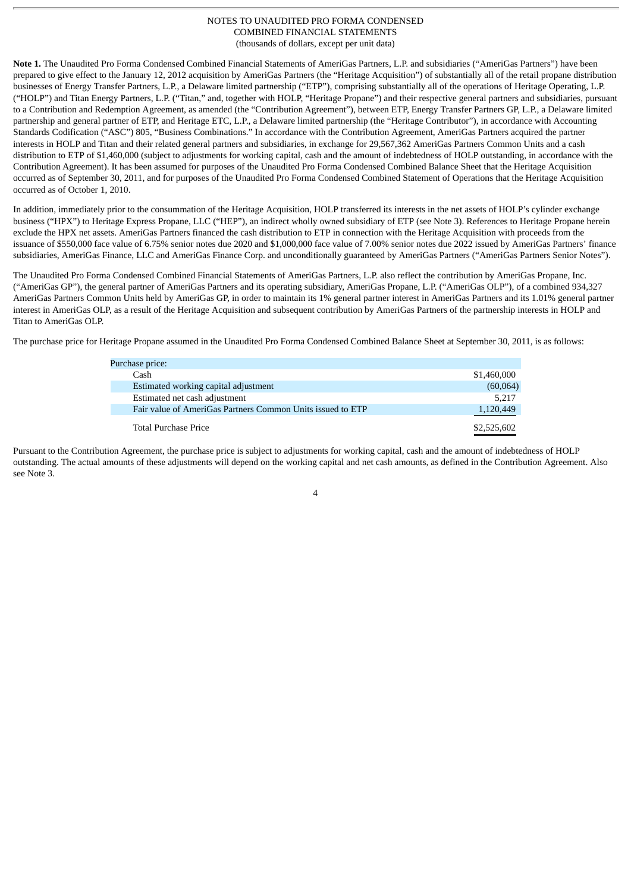**Note 1.** The Unaudited Pro Forma Condensed Combined Financial Statements of AmeriGas Partners, L.P. and subsidiaries ("AmeriGas Partners") have been prepared to give effect to the January 12, 2012 acquisition by AmeriGas Partners (the "Heritage Acquisition") of substantially all of the retail propane distribution businesses of Energy Transfer Partners, L.P., a Delaware limited partnership ("ETP"), comprising substantially all of the operations of Heritage Operating, L.P. ("HOLP") and Titan Energy Partners, L.P. ("Titan," and, together with HOLP, "Heritage Propane") and their respective general partners and subsidiaries, pursuant to a Contribution and Redemption Agreement, as amended (the "Contribution Agreement"), between ETP, Energy Transfer Partners GP, L.P., a Delaware limited partnership and general partner of ETP, and Heritage ETC, L.P., a Delaware limited partnership (the "Heritage Contributor"), in accordance with Accounting Standards Codification ("ASC") 805, "Business Combinations." In accordance with the Contribution Agreement, AmeriGas Partners acquired the partner interests in HOLP and Titan and their related general partners and subsidiaries, in exchange for 29,567,362 AmeriGas Partners Common Units and a cash distribution to ETP of \$1,460,000 (subject to adjustments for working capital, cash and the amount of indebtedness of HOLP outstanding, in accordance with the Contribution Agreement). It has been assumed for purposes of the Unaudited Pro Forma Condensed Combined Balance Sheet that the Heritage Acquisition occurred as of September 30, 2011, and for purposes of the Unaudited Pro Forma Condensed Combined Statement of Operations that the Heritage Acquisition occurred as of October 1, 2010.

In addition, immediately prior to the consummation of the Heritage Acquisition, HOLP transferred its interests in the net assets of HOLP's cylinder exchange business ("HPX") to Heritage Express Propane, LLC ("HEP"), an indirect wholly owned subsidiary of ETP (see Note 3). References to Heritage Propane herein exclude the HPX net assets. AmeriGas Partners financed the cash distribution to ETP in connection with the Heritage Acquisition with proceeds from the issuance of \$550,000 face value of 6.75% senior notes due 2020 and \$1,000,000 face value of 7.00% senior notes due 2022 issued by AmeriGas Partners' finance subsidiaries, AmeriGas Finance, LLC and AmeriGas Finance Corp. and unconditionally guaranteed by AmeriGas Partners ("AmeriGas Partners Senior Notes").

The Unaudited Pro Forma Condensed Combined Financial Statements of AmeriGas Partners, L.P. also reflect the contribution by AmeriGas Propane, Inc. ("AmeriGas GP"), the general partner of AmeriGas Partners and its operating subsidiary, AmeriGas Propane, L.P. ("AmeriGas OLP"), of a combined 934,327 AmeriGas Partners Common Units held by AmeriGas GP, in order to maintain its 1% general partner interest in AmeriGas Partners and its 1.01% general partner interest in AmeriGas OLP, as a result of the Heritage Acquisition and subsequent contribution by AmeriGas Partners of the partnership interests in HOLP and Titan to AmeriGas OLP.

The purchase price for Heritage Propane assumed in the Unaudited Pro Forma Condensed Combined Balance Sheet at September 30, 2011, is as follows:

| Purchase price:                                            |             |
|------------------------------------------------------------|-------------|
| Cash                                                       | \$1,460,000 |
| Estimated working capital adjustment                       | (60,064)    |
| Estimated net cash adjustment                              | 5.217       |
| Fair value of AmeriGas Partners Common Units issued to ETP | 1,120,449   |
| <b>Total Purchase Price</b>                                | \$2,525,602 |

Pursuant to the Contribution Agreement, the purchase price is subject to adjustments for working capital, cash and the amount of indebtedness of HOLP outstanding. The actual amounts of these adjustments will depend on the working capital and net cash amounts, as defined in the Contribution Agreement. Also see Note 3.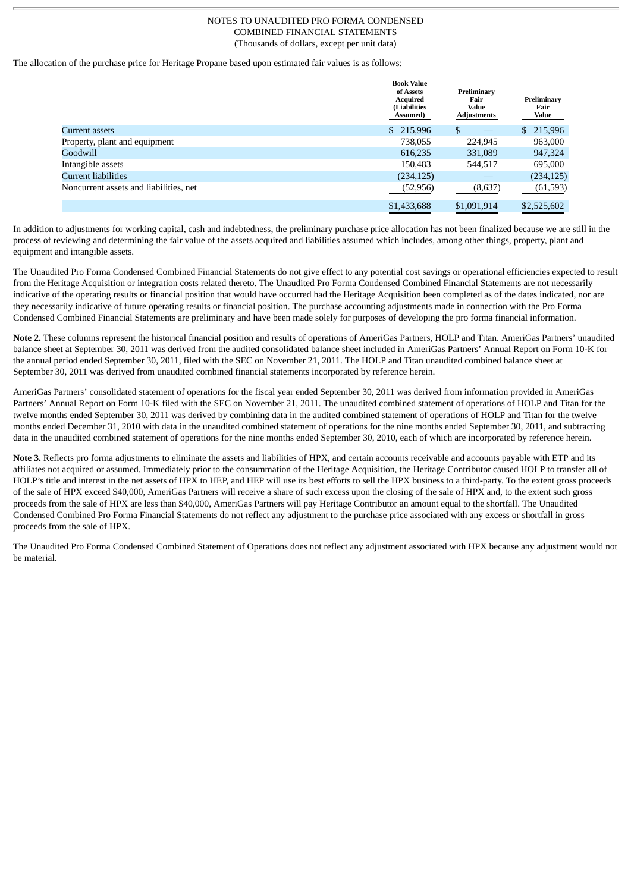The allocation of the purchase price for Heritage Propane based upon estimated fair values is as follows:

|                                        | <b>Book Value</b><br>of Assets<br><b>Acquired</b><br><b>(Liabilities</b><br>Assumed) | Preliminary<br>Fair<br>Value<br><b>Adjustments</b> | Preliminary<br>Fair<br><b>Value</b> |
|----------------------------------------|--------------------------------------------------------------------------------------|----------------------------------------------------|-------------------------------------|
| Current assets                         | \$<br>215,996                                                                        | \$                                                 | 215,996                             |
| Property, plant and equipment          | 738.055                                                                              | 224.945                                            | 963,000                             |
| Goodwill                               | 616,235                                                                              | 331,089                                            | 947,324                             |
| Intangible assets                      | 150.483                                                                              | 544,517                                            | 695,000                             |
| Current liabilities                    | (234, 125)                                                                           |                                                    | (234, 125)                          |
| Noncurrent assets and liabilities, net | (52, 956)                                                                            | (8,637)                                            | (61, 593)                           |
|                                        | \$1,433,688                                                                          | \$1,091,914                                        | \$2,525,602                         |

In addition to adjustments for working capital, cash and indebtedness, the preliminary purchase price allocation has not been finalized because we are still in the process of reviewing and determining the fair value of the assets acquired and liabilities assumed which includes, among other things, property, plant and equipment and intangible assets.

The Unaudited Pro Forma Condensed Combined Financial Statements do not give effect to any potential cost savings or operational efficiencies expected to result from the Heritage Acquisition or integration costs related thereto. The Unaudited Pro Forma Condensed Combined Financial Statements are not necessarily indicative of the operating results or financial position that would have occurred had the Heritage Acquisition been completed as of the dates indicated, nor are they necessarily indicative of future operating results or financial position. The purchase accounting adjustments made in connection with the Pro Forma Condensed Combined Financial Statements are preliminary and have been made solely for purposes of developing the pro forma financial information.

**Note 2.** These columns represent the historical financial position and results of operations of AmeriGas Partners, HOLP and Titan. AmeriGas Partners' unaudited balance sheet at September 30, 2011 was derived from the audited consolidated balance sheet included in AmeriGas Partners' Annual Report on Form 10-K for the annual period ended September 30, 2011, filed with the SEC on November 21, 2011. The HOLP and Titan unaudited combined balance sheet at September 30, 2011 was derived from unaudited combined financial statements incorporated by reference herein.

AmeriGas Partners' consolidated statement of operations for the fiscal year ended September 30, 2011 was derived from information provided in AmeriGas Partners' Annual Report on Form 10-K filed with the SEC on November 21, 2011. The unaudited combined statement of operations of HOLP and Titan for the twelve months ended September 30, 2011 was derived by combining data in the audited combined statement of operations of HOLP and Titan for the twelve months ended December 31, 2010 with data in the unaudited combined statement of operations for the nine months ended September 30, 2011, and subtracting data in the unaudited combined statement of operations for the nine months ended September 30, 2010, each of which are incorporated by reference herein.

Note 3. Reflects pro forma adjustments to eliminate the assets and liabilities of HPX, and certain accounts receivable and accounts payable with ETP and its affiliates not acquired or assumed. Immediately prior to the consummation of the Heritage Acquisition, the Heritage Contributor caused HOLP to transfer all of HOLP's title and interest in the net assets of HPX to HEP, and HEP will use its best efforts to sell the HPX business to a third-party. To the extent gross proceeds of the sale of HPX exceed \$40,000, AmeriGas Partners will receive a share of such excess upon the closing of the sale of HPX and, to the extent such gross proceeds from the sale of HPX are less than \$40,000, AmeriGas Partners will pay Heritage Contributor an amount equal to the shortfall. The Unaudited Condensed Combined Pro Forma Financial Statements do not reflect any adjustment to the purchase price associated with any excess or shortfall in gross proceeds from the sale of HPX.

The Unaudited Pro Forma Condensed Combined Statement of Operations does not reflect any adjustment associated with HPX because any adjustment would not be material.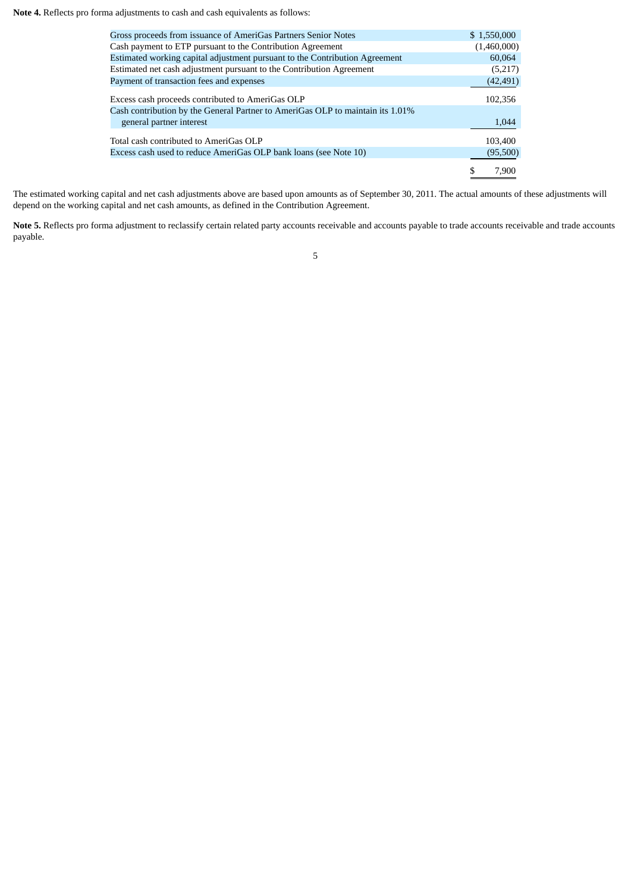**Note 4.** Reflects pro forma adjustments to cash and cash equivalents as follows:

| Gross proceeds from issuance of AmeriGas Partners Senior Notes                 | \$1,550,000 |
|--------------------------------------------------------------------------------|-------------|
| Cash payment to ETP pursuant to the Contribution Agreement                     | (1,460,000) |
| Estimated working capital adjustment pursuant to the Contribution Agreement    | 60.064      |
| Estimated net cash adjustment pursuant to the Contribution Agreement           | (5,217)     |
| Payment of transaction fees and expenses                                       | (42, 491)   |
| Excess cash proceeds contributed to AmeriGas OLP                               | 102,356     |
| Cash contribution by the General Partner to AmeriGas OLP to maintain its 1.01% |             |
| general partner interest                                                       | 1,044       |
| Total cash contributed to AmeriGas OLP                                         | 103.400     |
| Excess cash used to reduce AmeriGas OLP bank loans (see Note 10)               | (95,500)    |
|                                                                                | 7.900       |
|                                                                                |             |

The estimated working capital and net cash adjustments above are based upon amounts as of September 30, 2011. The actual amounts of these adjustments will depend on the working capital and net cash amounts, as defined in the Contribution Agreement.

Note 5. Reflects pro forma adjustment to reclassify certain related party accounts receivable and accounts payable to trade accounts receivable and trade accounts payable.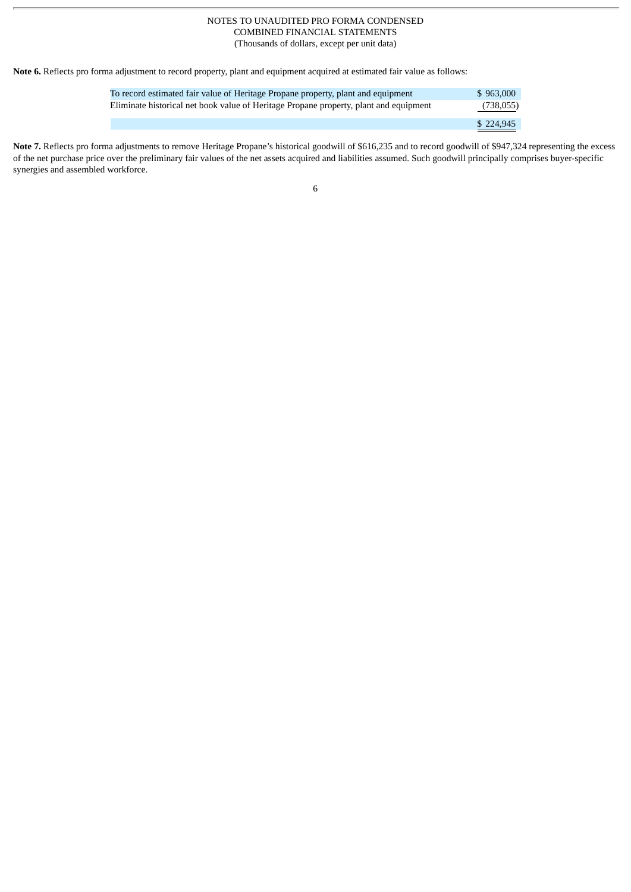**Note 6.** Reflects pro forma adjustment to record property, plant and equipment acquired at estimated fair value as follows:

| To record estimated fair value of Heritage Propane property, plant and equipment      | \$963,000 |
|---------------------------------------------------------------------------------------|-----------|
| Eliminate historical net book value of Heritage Propane property, plant and equipment | (738,055) |
|                                                                                       | \$224,945 |

**Note 7.** Reflects pro forma adjustments to remove Heritage Propane's historical goodwill of \$616,235 and to record goodwill of \$947,324 representing the excess of the net purchase price over the preliminary fair values of the net assets acquired and liabilities assumed. Such goodwill principally comprises buyer-specific synergies and assembled workforce.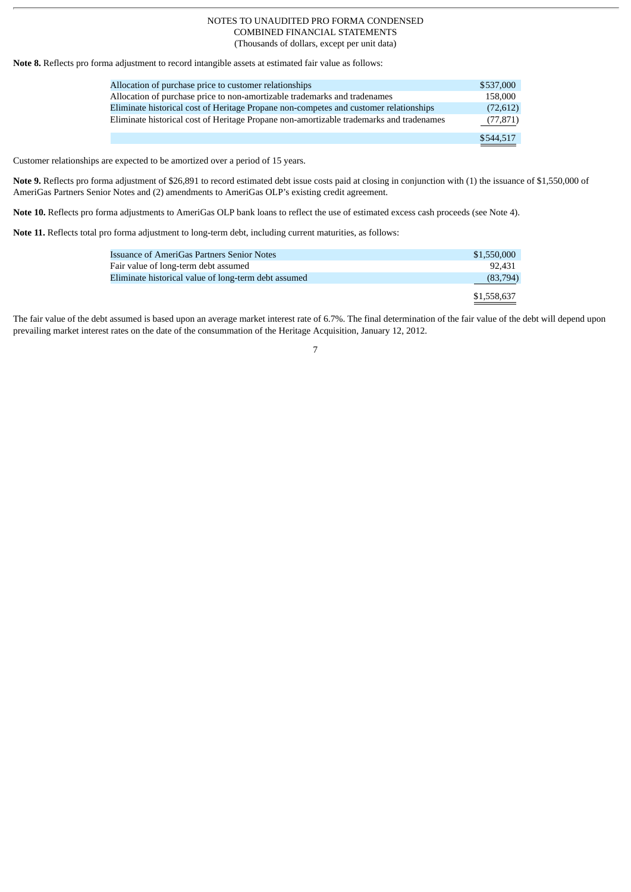**Note 8.** Reflects pro forma adjustment to record intangible assets at estimated fair value as follows:

| Allocation of purchase price to customer relationships                                  | \$537,000 |
|-----------------------------------------------------------------------------------------|-----------|
| Allocation of purchase price to non-amortizable trademarks and tradenames               | 158,000   |
| Eliminate historical cost of Heritage Propane non-competes and customer relationships   | (72,612)  |
| Eliminate historical cost of Heritage Propane non-amortizable trademarks and tradenames | (77, 871) |
|                                                                                         | \$544,517 |

Customer relationships are expected to be amortized over a period of 15 years.

**Note 9.** Reflects pro forma adjustment of \$26,891 to record estimated debt issue costs paid at closing in conjunction with (1) the issuance of \$1,550,000 of AmeriGas Partners Senior Notes and (2) amendments to AmeriGas OLP's existing credit agreement.

**Note 10.** Reflects pro forma adjustments to AmeriGas OLP bank loans to reflect the use of estimated excess cash proceeds (see Note 4).

**Note 11.** Reflects total pro forma adjustment to long-term debt, including current maturities, as follows:

| Issuance of AmeriGas Partners Senior Notes           | \$1,550,000 |
|------------------------------------------------------|-------------|
| Fair value of long-term debt assumed                 | 92.431      |
| Eliminate historical value of long-term debt assumed | (83,794)    |
|                                                      | \$1,558,637 |

The fair value of the debt assumed is based upon an average market interest rate of 6.7%. The final determination of the fair value of the debt will depend upon prevailing market interest rates on the date of the consummation of the Heritage Acquisition, January 12, 2012.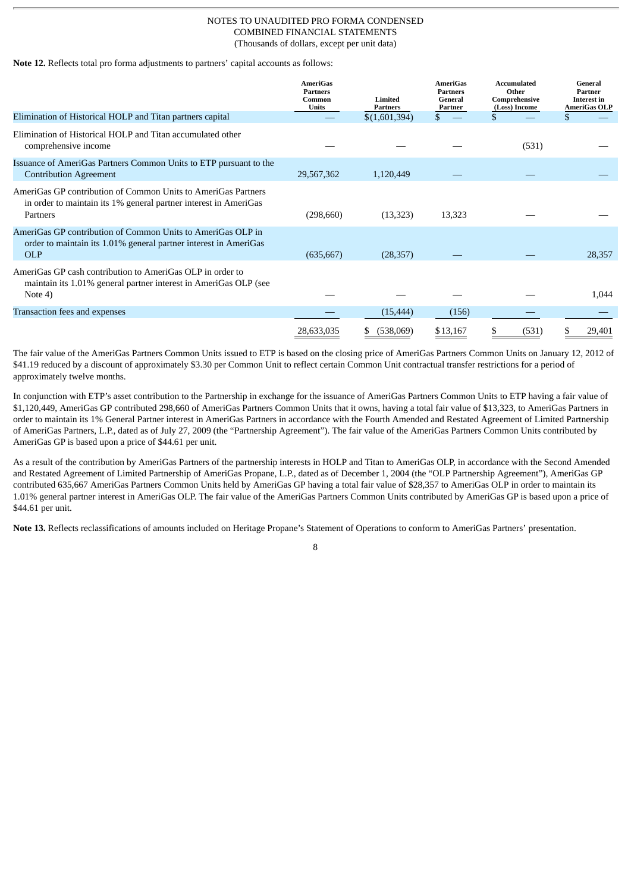**Note 12.** Reflects total pro forma adjustments to partners' capital accounts as follows:

|                                                                                                                                                      | <b>AmeriGas</b><br><b>Partners</b><br>Common<br><b>Units</b> | Limited<br><b>Partners</b> | <b>AmeriGas</b><br><b>Partners</b><br>General<br>Partner | Accumulated<br>Other<br>Comprehensive<br>(Loss) Income | General<br>Partner<br><b>Interest in</b><br><b>AmeriGas OLP</b> |
|------------------------------------------------------------------------------------------------------------------------------------------------------|--------------------------------------------------------------|----------------------------|----------------------------------------------------------|--------------------------------------------------------|-----------------------------------------------------------------|
| Elimination of Historical HOLP and Titan partners capital                                                                                            |                                                              | \$(1,601,394)              | \$.                                                      |                                                        |                                                                 |
| Elimination of Historical HOLP and Titan accumulated other<br>comprehensive income                                                                   |                                                              |                            |                                                          | (531)                                                  |                                                                 |
| Issuance of AmeriGas Partners Common Units to ETP pursuant to the<br><b>Contribution Agreement</b>                                                   | 29,567,362                                                   | 1,120,449                  |                                                          |                                                        |                                                                 |
| AmeriGas GP contribution of Common Units to AmeriGas Partners<br>in order to maintain its 1% general partner interest in AmeriGas<br><b>Partners</b> | (298,660)                                                    | (13,323)                   | 13,323                                                   |                                                        |                                                                 |
| AmeriGas GP contribution of Common Units to AmeriGas OLP in<br>order to maintain its 1.01% general partner interest in AmeriGas<br><b>OLP</b>        | (635, 667)                                                   | (28, 357)                  |                                                          |                                                        | 28,357                                                          |
| AmeriGas GP cash contribution to AmeriGas OLP in order to<br>maintain its 1.01% general partner interest in AmeriGas OLP (see<br>Note 4)             |                                                              |                            |                                                          |                                                        | 1,044                                                           |
| Transaction fees and expenses                                                                                                                        |                                                              | (15, 444)                  | (156)                                                    |                                                        |                                                                 |
|                                                                                                                                                      | 28,633,035                                                   | (538,069)                  | \$13,167                                                 | (531)                                                  | 29,401<br>Ж.                                                    |

The fair value of the AmeriGas Partners Common Units issued to ETP is based on the closing price of AmeriGas Partners Common Units on January 12, 2012 of \$41.19 reduced by a discount of approximately \$3.30 per Common Unit to reflect certain Common Unit contractual transfer restrictions for a period of approximately twelve months.

In conjunction with ETP's asset contribution to the Partnership in exchange for the issuance of AmeriGas Partners Common Units to ETP having a fair value of \$1,120,449, AmeriGas GP contributed 298,660 of AmeriGas Partners Common Units that it owns, having a total fair value of \$13,323, to AmeriGas Partners in order to maintain its 1% General Partner interest in AmeriGas Partners in accordance with the Fourth Amended and Restated Agreement of Limited Partnership of AmeriGas Partners, L.P., dated as of July 27, 2009 (the "Partnership Agreement"). The fair value of the AmeriGas Partners Common Units contributed by AmeriGas GP is based upon a price of \$44.61 per unit.

As a result of the contribution by AmeriGas Partners of the partnership interests in HOLP and Titan to AmeriGas OLP, in accordance with the Second Amended and Restated Agreement of Limited Partnership of AmeriGas Propane, L.P., dated as of December 1, 2004 (the "OLP Partnership Agreement"), AmeriGas GP contributed 635,667 AmeriGas Partners Common Units held by AmeriGas GP having a total fair value of \$28,357 to AmeriGas OLP in order to maintain its 1.01% general partner interest in AmeriGas OLP. The fair value of the AmeriGas Partners Common Units contributed by AmeriGas GP is based upon a price of \$44.61 per unit.

8

**Note 13.** Reflects reclassifications of amounts included on Heritage Propane's Statement of Operations to conform to AmeriGas Partners' presentation.